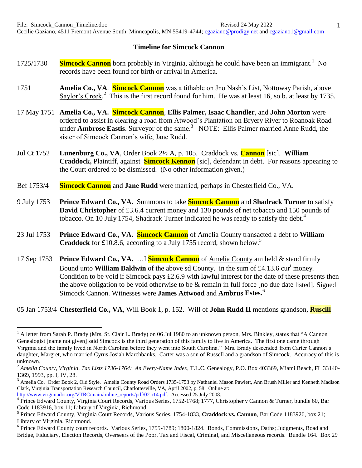## **Timeline for Simcock Cannon**

- 1725/1730 **Simcock Cannon** born probably in Virginia, although he could have been an immigrant.<sup>1</sup> No records have been found for birth or arrival in America.
- 1751 **Amelia Co., VA**. **Simcock Cannon** was a tithable on Jno Nash's List, Nottoway Parish, above Saylor's Creek.<sup>2</sup> This is the first record found for him. He was at least 16, so b. at least by 1735.
- 17 May 1751 **Amelia Co., VA. Simcock Cannon**, **Ellis Palmer, Isaac Chandler**, and **John Morton** were ordered to assist in clearing a road from Atwood's Plantation on Bryery River to Roanoak Road under **Ambrose Eastis**. Surveyor of the same.<sup>3</sup> NOTE: Ellis Palmer married Anne Rudd, the sister of Simcock Cannon's wife, Jane Rudd.
- Jul Ct 1752 **Lunenburg Co., VA**, Order Book 2½ A, p. 105. Craddock vs. **Cannon** [sic]. **William Craddock,** Plaintiff, against **Simcock Kennon** [sic], defendant in debt. For reasons appearing to the Court ordered to be dismissed. (No other information given.)
- Bef 1753/4 **Simcock Cannon** and **Jane Rudd** were married, perhaps in Chesterfield Co., VA.
- 9 July 1753 **Prince Edward Co., VA.** Summons to take **Simcock Cannon** and **Shadrack Turner** to satisfy **David Christopher** of £3.6.4 current money and 130 pounds of net tobacco and 150 pounds of tobacco. On 10 July 1754, Shadrack Turner indicated he was ready to satisfy the debt.<sup>4</sup>
- 23 Jul 1753 **Prince Edward Co., VA. Simcock Cannon** of Amelia County transacted a debt to **William Craddock** for £10.8.6, according to a July 1755 record, shown below. 5
- 17 Sep 1753 **Prince Edward Co., VA.** …I **Simcock Cannon** of Amelia County am held & stand firmly Bound unto **William Baldwin** of the above sd County. in the sum of £4.13.6 cur<sup>t</sup> money. Condition to be void if Simcock pays £2.6.9 with lawful interest for the date of these presents then the above obligation to be void otherwise to be & remain in full force [no due date listed]. Signed Simcock Cannon. Witnesses were **James Attwood** and **Ambrus Estes.** 6

05 Jan 1753/4 **Chesterfield Co., VA**, Will Book 1, p. 152. Will of **John Rudd II** mentions grandson, **Ruscill**

<sup>&</sup>lt;sup>1</sup> A letter from Sarah P. Brady (Mrs. St. Clair L. Brady) on 06 Jul 1980 to an unknown person, Mrs. Binkley, states that "A Cannon Genealogist [name not given] said Simcock is the third generation of this family to live in America. The first one came through Virginia and the family lived in North Carolina before they went into South Carolina." Mrs. Brady descended from Carter Cannon's daughter, Margret, who married Cyrus Josiah Marchbanks. Carter was a son of Russell and a grandson of Simcock. Accuracy of this is unknown.

<sup>2</sup> *Amelia County, Virginia, Tax Lists 1736-1764: An Every-Name Index*, T.L.C. Genealogy, P.O. Box 403369, Miami Beach, FL 33140- 1369, 1993, pp. I, IV, 28.

 $3$  Amelia Co. Order Book 2, Old Style. Amelia County Road Orders 1735-1753 by Nathaniel Mason Pawlett, Ann Brush Miller and Kenneth Madison Clark, Virginia Transportation Research Council, Charlottesville, VA, April 2002, p. 58. Online at: [http://www.virginiadot.org/VTRC/main/online\\_reports/pdf/02-r14.pdf.](http://www.virginiadot.org/VTRC/main/online_reports/pdf/02-r14.pdf) Accessed 25 July 2008.

<sup>&</sup>lt;sup>4</sup> Prince Edward County, Virginia Court Records, Various Series, 1752-1768; 1777, Christopher v Cannon & Turner, bundle 60, Bar Code 1183916, box 11; Library of Virginia, Richmond.

<sup>5</sup> Prince Edward County, Virginia Court Records, Various Series, 1754-1833, **Craddock vs. Cannon**, Bar Code 1183926, box 21; Library of Virginia, Richmond.

<sup>&</sup>lt;sup>6</sup> Prince Edward County court records. Various Series, 1755-1789; 1800-1824. Bonds, Commissions, Oaths; Judgments, Road and Bridge, Fiduciary, Election Records, Overseers of the Poor, Tax and Fiscal, Criminal, and Miscellaneous records. Bundle 164. Box 29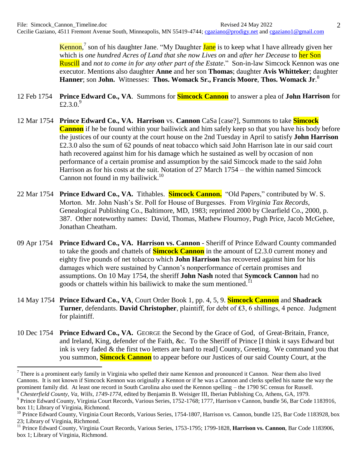Kennon,<sup>7</sup> son of his daughter Jane. "My Daughter Jane is to keep what I have allready given her which is *one hundred Acres of Land that she now Lives on* and *after her Decease* to her Son Ruscill and *not to come in for any other part of the Estate*." Son-in-law Simcock Kennon was one executor. Mentions also daughter **Anne** and her son **Thomas**; daughter **Avis Whitteker**; daughter **Hanner**; son **John.** Witnesses: **Thos. Womack Sr., Francis Moore**, **Thos. Womack Jr**. 8

- 12 Feb 1754 **Prince Edward Co., VA**. Summons for **Simcock Cannon** to answer a plea of **John Harrison** for £2.3.0. $^{9}$
- 12 Mar 1754 **Prince Edward Co., VA. Harrison** vs. **Cannon** CaSa [case?], Summons to take **Simcock Cannon** if he be found within your bailiwick and him safely keep so that you have his body before the justices of our county at the court house on the 2nd Tuesday in April to satisfy **John Harrison** £2.3.0 also the sum of 62 pounds of neat tobacco which said John Harrison late in our said court hath recovered against him for his damage which he sustained as well by occasion of non performance of a certain promise and assumption by the said Simcock made to the said John Harrison as for his costs at the suit. Notation of 27 March 1754 – the within named Simcock Cannon not found in my bailiwick.<sup>10</sup>
- 22 Mar 1754 **Prince Edward Co., VA.** Tithables. **Simcock Cannon.** "Old Papers," contributed by W. S. Morton. Mr. John Nash's Sr. Poll for House of Burgesses. From *Virginia Tax Records*, Genealogical Publishing Co., Baltimore, MD, 1983; reprinted 2000 by Clearfield Co., 2000, p. 387. Other noteworthy names: David, Thomas, Mathew Flournoy, Pugh Price, Jacob McGehee, Jonathan Cheatham.
- 09 Apr 1754 **Prince Edward Co., VA. Harrison vs. Cannon** Sheriff of Prince Edward County commanded to take the goods and chattels of **Simcock Cannon** in the amount of £2.3.0 current money and eighty five pounds of net tobacco which **John Harrison** has recovered against him for his damages which were sustained by Cannon's nonperformance of certain promises and assumptions. On 10 May 1754, the sheriff **John Nash** noted that **Symcock Cannon** had no goods or chattels within his bailiwick to make the sum mentioned.<sup>11</sup>
- 14 May 1754 **Prince Edward Co., VA**, Court Order Book 1, pp. 4, 5, 9. **Simcock Cannon** and **Shadrack Turner**, defendants. **David Christopher**, plaintiff, for debt of ₤3, 6 shillings, 4 pence. Judgment for plaintiff.
- 10 Dec 1754 **Prince Edward Co., VA.** GEORGE the Second by the Grace of God, of Great-Britain, France, and Ireland, King, defender of the Faith, &c. To the Sheriff of Prince [I think it says Edward but ink is very faded & the first two letters are hard to read] County, Greeting. We command you that you summon, **Simcock Cannon** to appear before our Justices of our said County Court, at the

 $7$  There is a prominent early family in Virginia who spelled their name Kennon and pronounced it Cannon. Near them also lived Cannons. It is not known if Simcock Kennon was originally a Kennon or if he was a Cannon and clerks spelled his name the way the prominent family did. At least one record in South Carolina also used the Kennon spelling – the 1790 SC census for Russell. <sup>8</sup> *Chesterfield County, Va, Wills*, *1749-1774*, edited by Benjamin B. Weisiger III, Iberian Publishing Co, Athens, GA, 1979.

<sup>9</sup> Prince Edward County, Virginia Court Records, Various Series, 1752-1768; 1777, Harrison v Cannon, bundle 56, Bar Code 1183916, box 11; Library of Virginia, Richmond.

<sup>&</sup>lt;sup>10</sup> Prince Edward County, Virginia Court Records, Various Series, 1754-1807, Harrison vs. Cannon, bundle 125, Bar Code 1183928, box 23; Library of Virginia, Richmond.

<sup>11</sup> Prince Edward County, Virginia Court Records, Various Series, 1753-1795; 1799-1828, **Harrison vs. Cannon**, Bar Code 1183906, box 1; Library of Virginia, Richmond.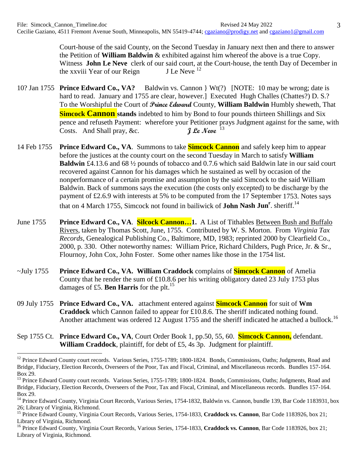Court-house of the said County, on the Second Tuesday in January next then and there to answer the Petition of **William Baldwin** & exhibited against him whereof the above is a true Copy. Witness **John Le Neve** clerk of our said court, at the Court-house, the tenth Day of December in the xxviii Year of our Reign **J** Le Neve <sup>12</sup> the xxviii Year of our Reign

- 10? Jan 1755 **Prince Edward Co., VA?** Baldwin vs. Cannon } Wt(?) [NOTE: 10 may be wrong; date is hard to read. January and 1755 are clear, however. Executed Hugh Challes (Chattes?) D. S.? To the Worshipful the Court of **Prince Edward** County, **William Baldwin** Humbly sheweth, That **Simcock Cannon stands** indebted to him by Bond to four pounds thirteen Shillings and Six pence and refuseth Payment: wherefore your Petitioner prays Judgment against for the same, with Costs. And Shall pray, &c. *I* Le Neve  $^{13}$
- 14 Feb 1755 **Prince Edward Co., VA**. Summons to take **Simcock Cannon** and safely keep him to appear before the justices at the county court on the second Tuesday in March to satisfy **William Baldwin** £4.13.6 and 68 ½ pounds of tobacco and 0.7.6 which said Baldwin late in our said court recovered against Cannon for his damages which he sustained as well by occasion of the nonperformance of a certain promise and assumption by the said Simcock to the said William Baldwin. Back of summons says the execution (the costs only excepted) to be discharge by the payment of £2.6.9 with interests at 5% to be computed from the 17 September 1753. Notes says that on 4 March 1755, Simcock not found in bailiwick of **John Nash Jun<sup>r</sup>** . sheriff. 14
- June 1755 **Prince Edward Co., VA**. **Silcock Cannon…1.** A List of Tithables Between Bush and Buffalo Rivers, taken by Thomas Scott, June, 1755. Contributed by W. S. Morton. From *Virginia Tax Records*, Genealogical Publishing Co., Baltimore, MD, 1983; reprinted 2000 by Clearfield Co., 2000, p. 330. Other noteworthy names: William Price, Richard Childers, Pugh Price, Jr. & Sr., Flournoy, John Cox, John Foster. Some other names like those in the 1754 list.
- ~July 1755 **Prince Edward Co., VA. William Craddock** complains of **Simcock Cannon** of Amelia County that he render the sum of £10.8.6 per his writing obligatory dated 23 July 1753 plus damages of £5. **Ben Harris** for the plt.<sup>15</sup>
- 09 July 1755 **Prince Edward Co., VA.** attachment entered against **Simcock Cannon** for suit of **Wm Craddock** which Cannon failed to appear for £10.8.6. The sheriff indicated nothing found. Another attachment was ordered 12 August 1755 and the sheriff indicated he attached a bullock.<sup>16</sup>
- Sep 1755 Ct. **Prince Edward Co., VA**, Court Order Book 1, pp.50, 55, 60. **Simcock Cannon,** defendant. **William Craddock**, plaintiff, for debt of £5, 4s 3p. Judgment for plaintiff.

<sup>&</sup>lt;sup>12</sup> Prince Edward County court records. Various Series, 1755-1789; 1800-1824. Bonds, Commissions, Oaths; Judgments, Road and Bridge, Fiduciary, Election Records, Overseers of the Poor, Tax and Fiscal, Criminal, and Miscellaneous records. Bundles 157-164. Box 29.

<sup>&</sup>lt;sup>13</sup> Prince Edward County court records. Various Series, 1755-1789; 1800-1824. Bonds, Commissions, Oaths; Judgments, Road and Bridge, Fiduciary, Election Records, Overseers of the Poor, Tax and Fiscal, Criminal, and Miscellaneous records. Bundles 157-164. Box 29.

<sup>&</sup>lt;sup>14</sup> Prince Edward County, Virginia Court Records, Various Series, 1754-1832, Baldwin vs. Cannon, bundle 139, Bar Code 1183931, box 26; Library of Virginia, Richmond.

<sup>&</sup>lt;sup>15</sup> Prince Edward County, Virginia Court Records, Various Series, 1754-1833, Craddock vs. Cannon, Bar Code 1183926, box 21; Library of Virginia, Richmond.

<sup>&</sup>lt;sup>16</sup> Prince Edward County, Virginia Court Records, Various Series, 1754-1833, Craddock vs. Cannon, Bar Code 1183926, box 21; Library of Virginia, Richmond.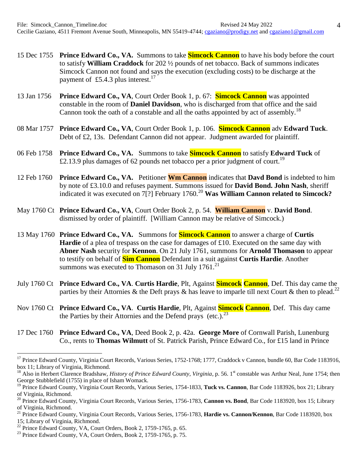- 15 Dec 1755 **Prince Edward Co., VA.** Summons to take **Simcock Cannon** to have his body before the court to satisfy **William Craddock** for 202 ½ pounds of net tobacco. Back of summons indicates Simcock Cannon not found and says the execution (excluding costs) to be discharge at the payment of £5.4.3 plus interest.<sup>17</sup>
- 13 Jan 1756 **Prince Edward Co., VA**, Court Order Book 1, p. 67: **Simcock Cannon** was appointed constable in the room of **Daniel Davidson**, who is discharged from that office and the said Cannon took the oath of a constable and all the oaths appointed by act of assembly.<sup>18</sup>
- 08 Mar 1757 **Prince Edward Co., VA**, Court Order Book 1, p. 106. **Simcock Cannon** adv **Edward Tuck**. Debt of £2, 13s. Defendant Cannon did not appear. Judgment awarded for plaintiff.
- 06 Feb 1758 **Prince Edward Co., VA.** Summons to take **Simcock Cannon** to satisfy **Edward Tuck** of £2.13.9 plus damages of 62 pounds net tobacco per a prior judgment of court.<sup>19</sup>
- 12 Feb 1760 **Prince Edward Co., VA.** Petitioner **Wm Cannon** indicates that **Davd Bond** is indebted to him by note of £3.10.0 and refuses payment. Summons issued for **David Bond. John Nash**, sheriff indicated it was executed on 7<sup>[?]</sup> February 1760.<sup>20</sup> Was William Cannon related to Simcock?
- May 1760 Ct **Prince Edward Co., VA**, Court Order Book 2, p. 54. **William Cannon** v. **David Bond**. dismissed by order of plaintiff. [William Cannon may be relative of Simcock.)
- 13 May 1760 **Prince Edward Co., VA.** Summons for **Simcock Cannon** to answer a charge of **Curtis Hardie** of a plea of trespass on the case for damages of £10. Executed on the same day with **Abner Nash** security for **Kennon**. On 21 July 1761, summons for **Arnold Thomason** to appear to testify on behalf of **Sim Cannon** Defendant in a suit against **Curtis Hardie**. Another summons was executed to Thomason on 31 July 1761. $^{21}$
- July 1760 Ct **Prince Edward Co., VA**. **Curtis Hardie**, Plt, Against **Simcock Cannon**, Def. This day came the parties by their Attornies & the Deft prays & has leave to imparle till next Court & then to plead.<sup>22</sup>
- Nov 1760 Ct **Prince Edward Co., VA**. **Curtis Hardie**, Plt, Against **Simcock Cannon**, Def. This day came the Parties by their Attornies and the Defend prays (etc.). $^{23}$
- 17 Dec 1760 **Prince Edward Co., VA**, Deed Book 2, p. 42a. **George More** of Cornwall Parish, Lunenburg Co., rents to **Thomas Wilmutt** of St. Patrick Parish, Prince Edward Co., for £15 land in Prince

<sup>18</sup> Also in Herbert Clarence Bradshaw, *History of Prince Edward County, Virginia*, p. 56. 1<sup>st</sup> constable was Arthur Neal, June 1754; then George Stubblefield (1755) in place of Isham Womack.

<sup>21</sup> Prince Edward County, Virginia Court Records, Various Series, 1756-1783, **Hardie vs. Cannon/Kennon**, Bar Code 1183920, box 15; Library of Virginia, Richmond.

<sup>&</sup>lt;sup>17</sup> Prince Edward County, Virginia Court Records, Various Series, 1752-1768; 1777, Craddock v Cannon, bundle 60, Bar Code 1183916, box 11; Library of Virginia, Richmond.

<sup>&</sup>lt;sup>19</sup> Prince Edward County, Virginia Court Records, Various Series, 1754-1833, Tuck vs. Cannon, Bar Code 1183926, box 21; Library of Virginia, Richmond.

<sup>20</sup> Prince Edward County, Virginia Court Records, Various Series, 1756-1783, **Cannon vs. Bond**, Bar Code 1183920, box 15; Library of Virginia, Richmond.

 $22$  Prince Edward County, VA, Court Orders, Book 2, 1759-1765, p. 65.

 $^{23}$  Prince Edward County, VA, Court Orders, Book 2, 1759-1765, p. 75.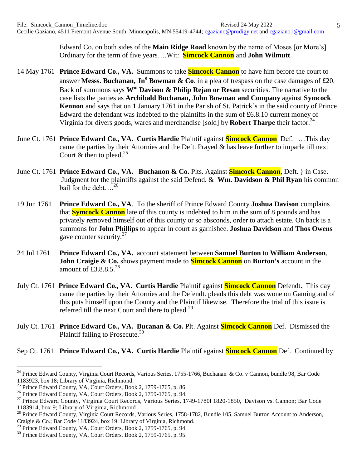Edward Co. on both sides of the **Main Ridge Road** known by the name of Moses [or More's] Ordinary for the term of five years….Wit: **Simcock Cannon** and **John Wilmutt**.

- 14 May 1761 **Prince Edward Co., VA.** Summons to take **Simcock Cannon** to have him before the court to answer Messs. Buchanan, Jn<sup>o</sup> Bowman & Co. in a plea of trespass on the case damages of £20. Back of summons says **W<sup>m</sup> Davison & Philip Rejan or Resan** securities. The narrative to the case lists the parties as **Archibald Buchanan, John Bowman and Company** against **Symcock Kennon** and says that on 1 January 1761 in the Parish of St. Patrick's in the said county of Prince Edward the defendant was indebted to the plaintiffs in the sum of £6.8.10 current money of Virginia for divers goods, wares and merchandise [sold] by **Robert Tharpe** their factor. 24
- June Ct. 1761 **Prince Edward Co., VA. Curtis Hardie** Plaintif against **Simcock Cannon** Def. …This day came the parties by their Attornies and the Deft. Prayed & has leave further to imparle till next Court & then to plead.<sup>25</sup>
- June Ct. 1761 **Prince Edward Co., VA. Buchanon & Co.** Plts. Against **Simcock Cannon**, Deft. } in Case. Judgment for the plaintiffs against the said Defend. & **Wm. Davidson & Phil Ryan** his common bail for the debt....<sup>26</sup>
- 19 Jun 1761 **Prince Edward Co., VA**. To the sheriff of Prince Edward County **Joshua Davison** complains that **Symcock Cannon** late of this county is indebted to him in the sum of 8 pounds and has privately removed himself out of this county or so absconds, order to attach estate. On back is a summons for **John Phillips** to appear in court as garnishee. **Joshua Davidson** and **Thos Owens** gave counter security. $27$
- 24 Jul 1761 **Prince Edward Co., VA.** account statement between **Samuel Burton** to **William Anderson**, **John Craigie & Co.** shows payment made to **Simcock Cannon** on **Burton's** account in the amount of  $\mathbf{\bar{t}}$ 3.8.8.5.<sup>28</sup>
- July Ct. 1761 **Prince Edward Co., VA. Curtis Hardie** Plaintif against **Simcock Cannon** Defendt. This day came the parties by their Attornies and the Defendt. pleads this debt was wone on Gaming and of this puts himself upon the County and the Plaintif likewise. Therefore the trial of this issue is referred till the next Court and there to plead.<sup>29</sup>
- July Ct. 1761 **Prince Edward Co., VA. Bucanan & Co.** Plt. Against **Simcock Cannon** Def. Dismissed the Plaintif failing to Prosecute. $30$

## Sep Ct. 1761 **Prince Edward Co., VA. Curtis Hardie** Plaintif against **Simcock Cannon** Def. Continued by

<sup>&</sup>lt;sup>24</sup> Prince Edward County, Virginia Court Records, Various Series, 1755-1766, Buchanan & Co. v Cannon, bundle 98, Bar Code 1183923, box 18; Library of Virginia, Richmond.

 $^{25}$  Prince Edward County, VA, Court Orders, Book 2, 1759-1765, p. 86.

<sup>&</sup>lt;sup>26</sup> Prince Edward County, VA, Court Orders, Book 2, 1759-1765, p. 94.

<sup>&</sup>lt;sup>27</sup> Prince Edward County, Virginia Court Records, Various Series, 1749-1780l 1820-1850, Davison vs. Cannon; Bar Code 1183914, box 9; Library of Virginia, Richmond

<sup>&</sup>lt;sup>28</sup> Prince Edward County, Virginia Court Records, Various Series, 1758-1782, Bundle 105, Samuel Burton Account to Anderson, Craigie & Co.; Bar Code 1183924, box 19; Library of Virginia, Richmond.

 $^{29}$  Prince Edward County, VA, Court Orders, Book 2, 1759-1765, p. 94.

<sup>&</sup>lt;sup>30</sup> Prince Edward County, VA, Court Orders, Book 2, 1759-1765, p. 95.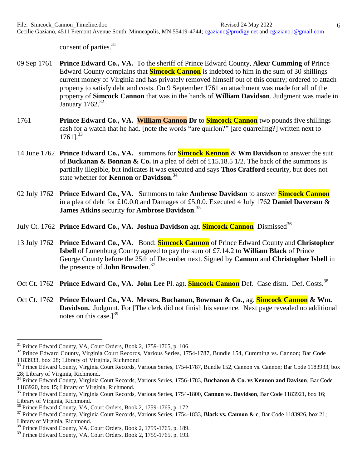consent of parties.<sup>31</sup>

- 09 Sep 1761 **Prince Edward Co., VA.** To the sheriff of Prince Edward County, **Alexr Cumming** of Prince Edward County complains that **Simcock Cannon** is indebted to him in the sum of 30 shillings current money of Virginia and has privately removed himself out of this county; ordered to attach property to satisfy debt and costs. On 9 September 1761 an attachment was made for all of the property of **Simcock Cannon** that was in the hands of **William Davidson**. Judgment was made in January  $1762.^{32}$
- 1761 **Prince Edward Co., VA. William Cannon Dr** to **Simcock Cannon** two pounds five shillings cash for a watch that he had. [note the words "are quirlon?" [are quarreling?] written next to  $1761$ <sup>33</sup>
- 14 June 1762 **Prince Edward Co., VA.** summons for **Simcock Kennon** & **Wm Davidson** to answer the suit of **Buckanan & Bonnan & Co.** in a plea of debt of £15.18.5 1/2. The back of the summons is partially illegible, but indicates it was executed and says **Thos Crafford** security, but does not state whether for **Kennon** or **Davidson**. 34
- 02 July 1762 **Prince Edward Co., VA.** Summons to take **Ambrose Davidson** to answer **Simcock Cannon** in a plea of debt for £10.0.0 and Damages of £5.0.0. Executed 4 July 1762 **Daniel Daverson** & **James Atkins** security for **Ambrose Davidson**. 35
- July Ct. 1762 **Prince Edward Co., VA. Joshua Davidson** agt. **Simcock Cannon** Dismissed<sup>36</sup>
- 13 July 1762 **Prince Edward Co., VA.** Bond: **Simcock Cannon** of Prince Edward County and **Christopher Isbell** of Lunenburg County agreed to pay the sum of £7.14.2 to **William Black** of Prince George County before the 25th of December next. Signed by **Cannon** and **Christopher Isbell** in the presence of **John Browden**. 37
- Oct Ct. 1762 **Prince Edward Co., VA. John Lee** Pl. agt. **Simcock Cannon** Def. Case dism. Def. Costs.<sup>38</sup>
- Oct Ct. 1762 **Prince Edward Co., VA. Messrs. Buchanan, Bowman & Co.,** ag. **Simcock Cannon & Wm. Davidson.** Judgmnt. For [The clerk did not finish his sentence. Next page revealed no additional notes on this case. $]^{39}$

 $31$  Prince Edward County, VA, Court Orders, Book 2, 1759-1765, p. 106.

<sup>&</sup>lt;sup>32</sup> Prince Edward County, Virginia Court Records, Various Series, 1754-1787, Bundle 154, Cumming vs. Cannon; Bar Code 1183933, box 28; Library of Virginia, Richmond

<sup>&</sup>lt;sup>33</sup> Prince Edward County, Virginia Court Records, Various Series, 1754-1787, Bundle 152, Cannon vs. Cannon; Bar Code 1183933, box 28; Library of Virginia, Richmond.

<sup>34</sup> Prince Edward County, Virginia Court Records, Various Series, 1756-1783, **Buchanon & Co. vs Kennon and Davison**, Bar Code 1183920, box 15; Library of Virginia, Richmond.

<sup>35</sup> Prince Edward County, Virginia Court Records, Various Series, 1754-1800, **Cannon vs. Davidson**, Bar Code 1183921, box 16; Library of Virginia, Richmond.

<sup>36</sup> Prince Edward County, VA, Court Orders, Book 2, 1759-1765, p. 172.

<sup>37</sup> Prince Edward County, Virginia Court Records, Various Series, 1754-1833, **Black vs. Cannon & c**, Bar Code 1183926, box 21; Library of Virginia, Richmond.

<sup>38</sup> Prince Edward County, VA, Court Orders, Book 2, 1759-1765, p. 189.

<sup>&</sup>lt;sup>39</sup> Prince Edward County, VA, Court Orders, Book 2, 1759-1765, p. 193.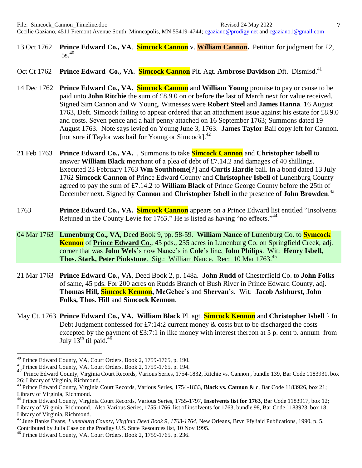- 13 Oct 1762 **Prince Edward Co., VA**. **Simcock Cannon** v. **William Cannon.** Petition for judgment for £2,  $5s.<sup>40</sup>$
- Oct Ct 1762 **Prince Edward Co., VA. Simcock Cannon** Plt. Agt. **Ambrose Davidson** Dft. Dismisd.<sup>41</sup>
- 14 Dec 1762 **Prince Edward Co., VA. Simcock Cannon** and **William Young** promise to pay or cause to be paid unto **John Ritchie** the sum of £8.9.0 on or before the last of March next for value received. Signed Sim Cannon and W Young. Witnesses were **Robert Steel** and **James Hanna**. 16 August 1763, Deft. Simcock failing to appear ordered that an attachment issue against his estate for £8.9.0 and costs. Seven pence and a half penny attached on 16 September 1763; Summons dated 19 August 1763. Note says levied on Young June 3, 1763. **James Taylor** Bail copy left for Cannon. [not sure if Taylor was bail for Young or Simcock]. 42
- 21 Feb 1763 **Prince Edward Co., VA.** , Summons to take **Simcock Cannon** and **Christopher Isbell** to answer **William Black** merchant of a plea of debt of £7.14.2 and damages of 40 shillings. Executed 23 February 1763 **Wm Southhome[?]** and **Curtis Hardie** bail. In a bond dated 13 July 1762 **Simcock Cannon** of Prince Edward County and **Christopher Isbell** of Lunenburg County agreed to pay the sum of £7.14.2 to **William Black** of Prince George County before the 25th of December next. Signed by **Cannon** and **Christopher Isbell** in the presence of **John Browden**. 43
- 1763 **Prince Edward Co., VA. Simcock Cannon** appears on a Prince Edward list entitled "Insolvents Retuned in the County Levie for 1763." He is listed as having "no effects."<sup>44</sup>
- 04 Mar 1763 **Lunenburg Co., VA**, Deed Book 9, pp. 58-59. **William Nance** of Lunenburg Co. to **Symcock Kennon** of **Prince Edward Co.**, 45 pds., 235 acres in Lunenburg Co. on Springfield Creek, adj. corner that was **John Wels**'s now Nance's in **Cole**'s line, **John Philips**. Wit: **Henry Isbell, Thos. Stark, Peter Pinkstone.** Sig.: William Nance. Rec: 10 Mar 1763.<sup>45</sup>
- 21 Mar 1763 **Prince Edward Co., VA**, Deed Book 2, p. 148a. **John Rudd** of Chesterfield Co. to **John Folks** of same, 45 pds. For 200 acres on Rudds Branch of Bush River in Prince Edward County, adj. **Thomas Hill, Simcock Kennon, McGehee's** and **Shervan**'s. Wit: **Jacob Ashhurst, John Folks, Thos. Hill** and **Simcock Kennon**.
- May Ct. 1763 **Prince Edward Co., VA. William Black** Pl. agt. **Simcock Kennon** and **Christopher Isbell** } In Debt Judgment confessed for £7:14:2 current money  $\&$  costs but to be discharged the costs excepted by the payment of £3:7:1 in like money with interest thereon at 5 p. cent p. annum from July  $13^{th}$  til paid.<sup>46</sup>

<sup>40</sup> Prince Edward County, VA, Court Orders, Book 2, 1759-1765, p. 190.

<sup>&</sup>lt;sup>41</sup> Prince Edward County, VA, Court Orders, Book 2, 1759-1765, p. 194.<br><sup>42</sup> Prince Edward County, Virginia Court Baserda Verious Series, 1754.1

<sup>42</sup> Prince Edward County, Virginia Court Records, Various Series, 1754-1832, Ritchie vs. Cannon , bundle 139, Bar Code 1183931, box 26; Library of Virginia, Richmond.

<sup>43</sup> Prince Edward County, Virginia Court Records, Various Series, 1754-1833, **Black vs. Cannon & c**, Bar Code 1183926, box 21; Library of Virginia, Richmond.

<sup>44</sup> Prince Edward County, Virginia Court Records, Various Series, 1755-1797, **Insolvents list for 1763**, Bar Code 1183917, box 12; Library of Virginia, Richmond. Also Various Series, 1755-1766, list of insolvents for 1763, bundle 98, Bar Code 1183923, box 18; Library of Virginia, Richmond.

<sup>45</sup> June Banks Evans, *Lunenburg County, Virginia Deed Book 9, 1763-1764*, New Orleans, Bryn Ffyliaid Publications, 1990, p. 5. Contributed by Julia Case on the Prodigy U.S. State Resources list, 10 Nov 1995.

<sup>&</sup>lt;sup>46</sup> Prince Edward County, VA, Court Orders, Book 2, 1759-1765, p. 236.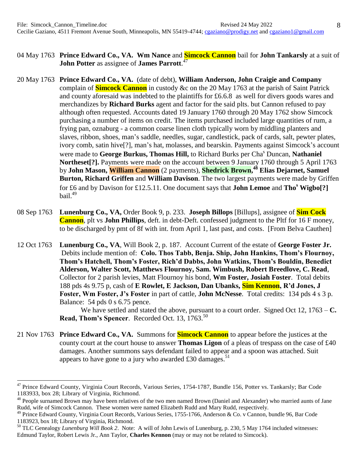- 04 May 1763 **Prince Edward Co., VA. Wm Nance** and **Simcock Cannon** bail for **John Tankarsly** at a suit of **John Potter** as assignee of **James Parrott**. 47
- 20 May 1763 **Prince Edward Co., VA.** (date of debt), **William Anderson, John Craigie and Company** complain of **Simcock Cannon** in custody &c on the 20 May 1763 at the parish of Saint Patrick and county aforesaid was indebted to the plaintiffs for £6.6.8 as well for divers goods wares and merchandizes by **Richard Burks** agent and factor for the said plts. but Cannon refused to pay although often requested. Accounts dated 19 January 1760 through 20 May 1762 show Simcock purchasing a number of items on credit. The items purchased included large quantities of rum, a frying pan, oznaburg - a common coarse linen cloth typically worn by middling planters and slaves, ribbon, shoes, man's saddle, needles, sugar, candlestick, pack of cards, salt, pewter plates, ivory comb, satin hive[?], man's hat, molasses, and bearskin. Payments against Simcock's account were made to **George Burkus, Thomas Hill,** to Richard Burks per Cha <sup>s</sup> Duncan, **Nathaniel Northeset[?].** Payments were made on the account between 9 January 1760 through 5 April 1763 by **John Mason, William Cannon** (2 payments), **Shedrick Brown, <sup>48</sup> Elias Dejarnet, Samuel Burton, Richard Griffen** and **William Davison**. The two largest payments were made by Griffen for £6 and by Davison for £12.5.11. One document says that **John Lemoe** and **Tho<sup>s</sup> Wigbo[?]** bail. 49
- 08 Sep 1763 **Lunenburg Co., VA,** Order Book 9, p. 233. **Joseph Billops** [Billups], assignee of **Sim Cock Cannon**, plt vs **John Phillips**, deft. in debt-Deft. confessed judgment to the Pltf for 16 F money, to be discharged by pmt of 8f with int. from April 1, last past, and costs. [From Belva Cauthen]

12 Oct 1763 **Lunenburg Co., VA**, Will Book 2, p. 187. Account Current of the estate of **George Foster Jr.** Debits include mention of: **Colo. Thos Tabb, Benja. Ship, John Hankins, Thom's Flournoy, Thom's Hatchell, Thom's Foster, Rich'd Dabbs, John Watkins, Thom's Bouldin, Benedict Alderson, Walter Scott, Matthews Flournoy, Sam. Wimbush, Robert Breedlove, C. Read**, Collector for 2 parish levies, Matt Flournoy his bond, **Wm Foster, Josiah Foster**. Total debits 188 pds 4s 9.75 p, cash of **E Rowlet, E Jackson, Dan Ubanks, Sim Kennon, R'd Jones, J Foster, Wm Foster, J's Foster** in part of cattle, **John McNesse**. Total credits: 134 pds 4 s 3 p. Balance: 54 pds 0 s 6.75 pence.

We have settled and stated the above, pursuant to a court order. Signed Oct 12, 1763 – **C. Read, Thom's Spencer.** Recorded Oct. 13, 1763.<sup>50</sup>

21 Nov 1763 **Prince Edward Co., VA.** Summons for **Simcock Cannon** to appear before the justices at the county court at the court house to answer **Thomas Ligon** of a pleas of trespass on the case of £40 damages. Another summons says defendant failed to appear and a spoon was attached. Suit appears to have gone to a jury who awarded £30 damages.<sup>51</sup>

<sup>&</sup>lt;sup>47</sup> Prince Edward County, Virginia Court Records, Various Series, 1754-1787, Bundle 156, Potter vs. Tankarsly; Bar Code 1183933, box 28; Library of Virginia, Richmond.

<sup>&</sup>lt;sup>48</sup> People surnamed Brown may have been relatives of the two men named Brown (Daniel and Alexander) who married aunts of Jane Rudd, wife of Simcock Cannon. These women were named Elizabeth Rudd and Mary Rudd, respectively.

<sup>&</sup>lt;sup>49</sup> Prince Edward County, Virginia Court Records, Various Series, 1755-1766, Anderson & Co. v Cannon, bundle 96, Bar Code 1183923, box 18; Library of Virginia, Richmond.

<sup>50</sup> TLC Genealogy *Lunenburg Will Book 2*. Note: A will of John Lewis of Lunenburg, p. 230, 5 May 1764 included witnesses: Edmund Taylor, Robert Lewis Jr., Ann Taylor, **Charles Kennon** (may or may not be related to Simcock).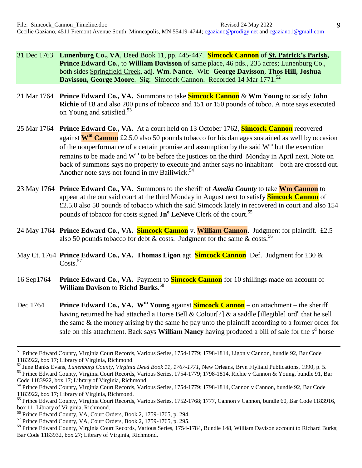- 31 Dec 1763 **Lunenburg Co., VA**, Deed Book 11, pp. 445-447. **Simcock Cannon** of **St. Patrick's Parish, Prince Edward Co.**, to **William Davisson** of same place, 46 pds., 235 acres; Lunenburg Co., both sides Springfield Creek, adj. **Wm. Nance**. Wit: **George Davisson**, **Thos Hill, Joshua Davisson, George Moore.** Sig: Simcock Cannon. Recorded 14 Mar 1771.<sup>52</sup>
- 21 Mar 1764 **Prince Edward Co., VA.** Summons to take **Simcock Cannon** & **Wm Young** to satisfy **John Richie** of £8 and also 200 puns of tobacco and 151 or 150 pounds of tobco. A note says executed on Young and satisfied. 53
- 25 Mar 1764 **Prince Edward Co., VA.** At a court held on 13 October 1762, **Simcock Cannon** recovered against **W<sup>m</sup> Cannon** £2.5.0 also 50 pounds tobacco for his damages sustained as well by occasion of the nonperformance of a certain promise and assumption by the said  $W^m$  but the execution remains to be made and  $W^m$  to be before the justices on the third Monday in April next. Note on back of summons says no property to execute and anther says no inhabitant – both are crossed out. Another note says not found in my Bailiwick.<sup>54</sup>
- 23 May 1764 **Prince Edward Co., VA.** Summons to the sheriff of *Amelia County* to take **Wm Cannon** to appear at the our said court at the third Monday in August next to satisfy **Simcock Cannon** of £2.5.0 also 50 pounds of tobacco which the said Simcock lately in recovered in court and also 154 pounds of tobacco for costs signed  $\text{Jn}^{\text{o}}$  **LeNeve** Clerk of the court.<sup>55</sup>
- 24 May 1764 **Prince Edward Co., VA. Simcock Cannon** v. **William Cannon.** Judgment for plaintiff. £2.5 also 50 pounds tobacco for debt  $\&$  costs. Judgment for the same  $\&$  costs.<sup>56</sup>
- May Ct. 1764 **Prince Edward Co., VA. Thomas Ligon** agt. **Simcock Cannon** Def. Judgment for £30 & Costs.<sup>57</sup>
- 16 Sep1764 **Prince Edward Co., VA.** Payment to **Simcock Cannon** for 10 shillings made on account of **William Davison** to **Richd Burks**. 58
- Dec 1764 **Prince Edward Co., VA. W<sup>m</sup> Young** against **Simcock Cannon** on attachment the sheriff having returned he had attached a Horse Bell & Colour[?] & a saddle [illegible] ord<sup>d</sup> that he sell the same & the money arising by the same he pay unto the plaintiff according to a former order for sale on this attachment. Back says **William Nancy** having produced a bill of sale for the s<sup>d</sup> horse

1

<sup>&</sup>lt;sup>51</sup> Prince Edward County, Virginia Court Records, Various Series, 1754-1779; 1798-1814, Ligon v Cannon, bundle 92, Bar Code 1183922, box 17; Library of Virginia, Richmond.

<sup>52</sup> June Banks Evans, *Lunenburg County, Virginia Deed Book 11, 1767-1771*, New Orleans, Bryn Ffyliaid Publications, 1990, p. 5. <sup>53</sup> Prince Edward County, Virginia Court Records, Various Series, 1754-1779; 1798-1814, Richie v Cannon & Young, bundle 91, Bar Code 1183922, box 17; Library of Virginia, Richmond.

<sup>&</sup>lt;sup>54</sup> Prince Edward County, Virginia Court Records, Various Series, 1754-1779; 1798-1814, Cannon v Cannon, bundle 92, Bar Code 1183922, box 17; Library of Virginia, Richmond.

<sup>&</sup>lt;sup>55</sup> Prince Edward County, Virginia Court Records, Various Series, 1752-1768; 1777, Cannon v Cannon, bundle 60, Bar Code 1183916, box 11; Library of Virginia, Richmond.

<sup>56</sup> Prince Edward County, VA, Court Orders, Book 2, 1759-1765, p. 294.

<sup>57</sup> Prince Edward County, VA, Court Orders, Book 2, 1759-1765, p. 295.

<sup>&</sup>lt;sup>58</sup> Prince Edward County, Virginia Court Records, Various Series, 1754-1784, Bundle 148, William Davison account to Richard Burks; Bar Code 1183932, box 27; Library of Virginia, Richmond.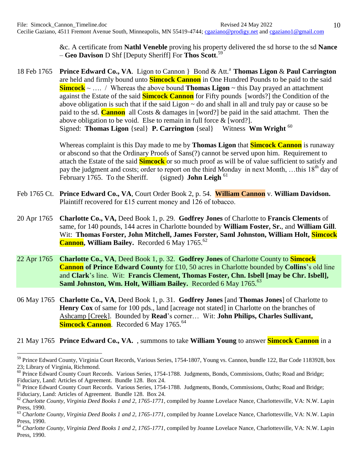&c. A certificate from **Nathl Veneble** proving his property delivered the sd horse to the sd **Nance** – **Geo Davison** D Shf [Deputy Sheriff] For **Thos Scott**. 59

18 Feb 1765 **Prince Edward Co., VA**. Ligon to Cannon } Bond & Att.<sup>a</sup> **Thomas Ligon** & **Paul Carrington** are held and firmly bound unto **Simcock Cannon** in One Hundred Pounds to be paid to the said **Simcock** ~ …. / Whereas the above bound **Thomas Ligon** ~ this Day prayed an attachment against the Estate of the said **Simcock Cannon** for Fifty pounds [words?] the Condition of the above obligation is such that if the said Ligon  $\sim$  do and shall in all and truly pay or cause so be paid to the sd. **Cannon** all Costs & damages in [word?] be paid in the said attachmt. Then the above obligation to be void. Else to remain in full force & [word?]. Signed: **Thomas Ligon** {seal} **P. Carrington** {seal} Witness **Wm Wright** <sup>60</sup>

> Whereas complaint is this Day made to me by **Thomas Ligon** that **Simcock Cannon** is runaway or abscond so that the Ordinary Proofs of Sans(?) cannot be served upon him. Requirement to attach the Estate of the said **Simcock** or so much proof as will be of value sufficient to satisfy and pay the judgment and costs; order to report on the third Monday in next Month, ...this 18<sup>th</sup> day of February 1765. To the Sheriff. (signed) **John Leigh** <sup>61</sup>

- Feb 1765 Ct. **Prince Edward Co., VA**, Court Order Book 2, p. 54. **William Cannon** v. **William Davidson.** Plaintiff recovered for £15 current money and 126 of tobacco.
- 20 Apr 1765 **Charlotte Co., VA,** Deed Book 1, p. 29. **Godfrey Jones** of Charlotte to **Francis Clements** of same, for 140 pounds, 144 acres in Charlotte bounded by **William Foster, Sr.**, and **William Gill**. Wit: **Thomas Forster, John Mitchell, James Forster, Saml Johnston, William Holt, Simcock** Cannon, William Bailey. Recorded 6 May 1765.<sup>62</sup>
- 22 Apr 1765 **Charlotte Co., VA**, Deed Book 1, p. 32. **Godfrey Jones** of Charlotte County to **Simcock Cannon of Prince Edward County** for £10, 50 acres in Charlotte bounded by **Collins**'s old line and **Clark**'s line. Wit: **Francis Clement, Thomas Foster, Chn. Isbell [may be Chr. Isbell], Saml Johnston, Wm. Holt, William Bailey.** Recorded 6 May 1765.<sup>63</sup>
- 06 May 1765 **Charlotte Co., VA**, Deed Book 1, p. 31. **Godfrey Jones** [and **Thomas Jones**] of Charlotte to **Henry Cox** of same for 100 pds., land [acreage not stated] in Charlotte on the branches of Ashcamp [Creek]. Bounded by **Read**'s corner… Wit: **John Philips, Charles Sullivant, Simcock Cannon**. Recorded 6 May 1765.<sup>64</sup>

21 May 1765 **Prince Edward Co., VA.** , summons to take **William Young** to answer **Simcock Cannon** in a

<sup>&</sup>lt;sup>59</sup> Prince Edward County, Virginia Court Records, Various Series, 1754-1807, Young vs. Cannon, bundle 122, Bar Code 1183928, box 23; Library of Virginia, Richmond.

<sup>&</sup>lt;sup>60</sup> Prince Edward County Court Records. Various Series, 1754-1788. Judgments, Bonds, Commissions, Oaths; Road and Bridge; Fiduciary, Land: Articles of Agreement. Bundle 128. Box 24.

<sup>&</sup>lt;sup>61</sup> Prince Edward County Court Records. Various Series, 1754-1788. Judgments, Bonds, Commissions, Oaths; Road and Bridge; Fiduciary, Land: Articles of Agreement. Bundle 128. Box 24.

<sup>&</sup>lt;sup>62</sup> Charlotte County, Virginia Deed Books 1 and 2, 1765-1771, compiled by Joanne Lovelace Nance, Charlottesville, VA: N.W. Lapin Press, 1990.

<sup>63</sup> *Charlotte County, Virginia Deed Books 1 and 2, 1765-1771*, compiled by Joanne Lovelace Nance, Charlottesville, VA: N.W. Lapin Press, 1990.

<sup>&</sup>lt;sup>64</sup> Charlotte County, Virginia Deed Books 1 and 2, 1765-1771, compiled by Joanne Lovelace Nance, Charlottesville, VA: N.W. Lapin Press, 1990.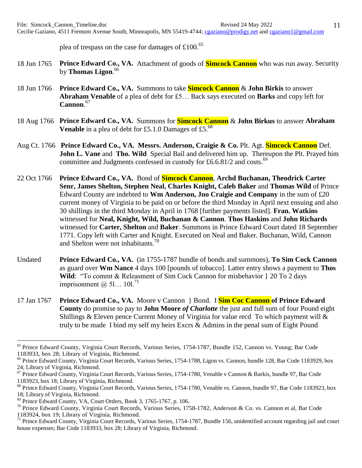plea of trespass on the case for damages of  $\text{\pounds}100$ .<sup>65</sup>

- 18 Jun 1765 **Prince Edward Co., VA.** Attachment of goods of **Simcock Cannon** who was run away. Security by **Thomas Ligon**. 66
- 18 Jun 1766 **Prince Edward Co., VA.** Summons to take **Simcock Cannon** & **John Birkis** to answer **Abraham Venable** of a plea of debt for £5… Back says executed on **Barks** and copy left for **Cannon**. 67
- 18 Aug 1766 **Prince Edward Co., VA.** Summons for **Simcock Cannon** & **John Birkus** to answer **Abraham Venable** in a plea of debt for £5.1.0 Damages of £5.<sup>68</sup>
- Aug Ct. 1766 **Prince Edward Co., VA. Messrs. Anderson, Craigie & Co.** Plt. Agt. **Simcock Cannon** Def. **John L. Vane** and **Tho. Wild** Special Bail and delivered him up. Thereupon the Plt. Prayed him committee and Judgments confessed in custody for  $\text{\pounds}6.6.81/2$  and costs.<sup>69</sup>
- 22 Oct 1766 **Prince Edward Co., VA.** Bond of **Simcock Cannon**, **Archd Buchanan, Theodrick Carter Senr, James Shelton, Stephen Neal, Charles Knight, Caleb Baker** and **Thomas Wild** of Prince Edward County are indebted to **Wm Anderson, Jno Craigie and Company** in the sum of £20 current money of Virginia to be paid on or before the third Monday in April next ensuing and also 30 shillings in the third Monday in April in 1768 [further payments listed]. **Fran. Watkins** witnessed for **Neal, Knight, Wild, Buchanan & Cannon**. **Thos Haskins** and **John Richards** witnessed for **Carter, Shelton** and **Baker**. Summons in Prince Edward Court dated 18 September 1771. Copy left with Carter and Knight. Executed on Neal and Baker. Buchanan, Wild, Cannon and Shelton were not inhabitants.<sup>70</sup>
- Undated **Prince Edward Co., VA.** (in 1755-1787 bundle of bonds and summons), **To Sim Cock Cannon** as guard over **Wm Nance** 4 days 100 [pounds of tobacco]. Latter entry shows a payment to **Thos Wild**: "To commt & Releasment of Sim Cock Cannon for misbehavior } 20 To 2 days imprisonment  $\omega$  51... 101.<sup>71</sup>
- 17 Jan 1767 **Prince Edward Co., VA.** Moore v Cannon } Bond. I **Sim Coc Cannon of Prince Edward County** do promise to pay to **John Moore** *of Charlotte* the just and full sum of four Pound eight Shillings & Eleven pence Current Money of Virginia for value recd To which payment will  $\&$ truly to be made I bind my self my heirs Excrs & Admins in the penal sum of Eight Pound

<sup>&</sup>lt;sup>65</sup> Prince Edward County, Virginia Court Records, Various Series, 1754-1787, Bundle 152, Cannon vs. Young; Bar Code 1183933, box 28; Library of Virginia, Richmond.

<sup>&</sup>lt;sup>66</sup> Prince Edward County, Virginia Court Records, Various Series, 1754-1788, Ligon vs. Cannon, bundle 128, Bar Code 1183929, box 24; Library of Virginia, Richmond.

<sup>&</sup>lt;sup>67</sup> Prince Edward County, Virginia Court Records, Various Series, 1754-1780, Venable v Cannon & Barkis, bundle 97, Bar Code 1183923, box 18; Library of Virginia, Richmond.

<sup>&</sup>lt;sup>68</sup> Prince Edward County, Virginia Court Records, Various Series, 1754-1780, Venable vs. Cannon, bundle 97, Bar Code 1183923, box 18; Library of Virginia, Richmond.

<sup>69</sup> Prince Edward County, VA, Court Orders, Book 3, 1765-1767, p. 106.

<sup>&</sup>lt;sup>70</sup> Prince Edward County, Virginia Court Records, Various Series, 1758-1782, Anderson & Co. vs. Cannon et al, Bar Code 1183924, box 19; Library of Virginia, Richmond.

<sup>&</sup>lt;sup>71</sup> Prince Edward County, Virginia Court Records, Various Series, 1754-1787, Bundle 156, unidentified account regarding jail and court house expenses; Bar Code 1183933, box 28; Library of Virginia, Richmond.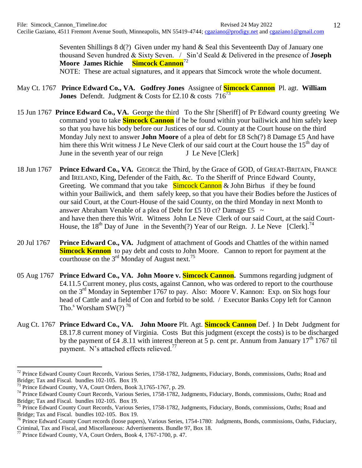Seventen Shillings 8 d(?) Given under my hand & Seal this Seventeenth Day of January one thousand Seven hundred & Sixty Seven. / Sin'd Seald & Delivered in the presence of **Joseph Moore James Richie Simcock Cannon**<sup>72</sup>

NOTE: These are actual signatures, and it appears that Simcock wrote the whole document.

- May Ct. 1767 **Prince Edward Co., VA. Godfrey Jones** Assignee of **Simcock Cannon** Pl. agt. **William Jones** Defendt. Judgment & Costs for £2.10 & costs  $716^{73}$
- 15 Jun 1767 **Prince Edward Co., VA.** George the third To the Shr [Sheriff] of Pr Edward county greeting We command you to take **Simcock Cannon** if he be found within your bailiwick and him safely keep so that you have his body before our Justices of our sd. County at the Court house on the third Monday July next to answer **John Moore** of a plea of debt for £8 Sch(?) 8 Damage £5 And have him there this Writ witness J Le Neve Clerk of our said court at the Court house the 15<sup>th</sup> day of June in the seventh year of our reign J Le Neve [Clerk]
- 18 Jun 1767 **Prince Edward Co., VA.** GEORGE the Third, by the Grace of GOD, of GREAT-BRITAIN, FRANCE and IRELAND, King, Defender of the Faith, &c. To the Sheriff of Prince Edward County, Greeting. We command that you take Simcock Cannon & John Birhus if they be found within your Bailiwick, and them safely keep, so that you have their Bodies before the Justices of our said Court, at the Court-House of the said County, on the third Monday in next Month to answer Abraham Venable of a plea of Debt for £5 10 ct? Damage £5  $\sim$ and have then there this Writ. Witness John Le Neve Clerk of our said Court, at the said Court-House, the 18<sup>th</sup> Day of June in the Seventh(?) Year of our Reign. J. Le Neve [Clerk].<sup>74</sup>
- 20 Jul 1767 **Prince Edward Co., VA.** Judgment of attachment of Goods and Chattles of the within named **Simcock Kennon** to pay debt and costs to John Moore. Cannon to report for payment at the courthouse on the  $3<sup>rd</sup>$  Monday of August next.<sup>75</sup>
- 05 Aug 1767 **Prince Edward Co., VA. John Moore v. Simcock Cannon.** Summons regarding judgment of £4.11.5 Current money, plus costs, against Cannon, who was ordered to report to the courthouse on the 3<sup>rd</sup> Monday in September 1767 to pay. Also: Moore V. Kannon: Exp. on Six hogs four head of Cattle and a field of Con and forbid to be sold. / Executor Banks Copy left for Cannon Tho.<sup>s</sup> Worsham SW $(?)$ <sup>76</sup>
- Aug Ct. 1767 **Prince Edward Co., VA. John Moore** Plt. Agt. **Simcock Cannon** Def. } In Debt Judgment for £8.17.8 current money of Virginia. Costs But this judgment (except the costs) is to be discharged by the payment of £4 .8.11 with interest thereon at 5 p. cent pr. Annum from January 17<sup>th</sup> 1767 til payment. N's attached effects relieved.<sup>77</sup>

<sup>&</sup>lt;sup>72</sup> Prince Edward County Court Records, Various Series, 1758-1782, Judgments, Fiduciary, Bonds, commissions, Oaths; Road and Bridge; Tax and Fiscal. bundles 102-105. Box 19.

<sup>&</sup>lt;sup>73</sup> Prince Edward County, VA, Court Orders, Book 3,1765-1767, p. 29.

<sup>&</sup>lt;sup>74</sup> Prince Edward County Court Records, Various Series, 1758-1782, Judgments, Fiduciary, Bonds, commissions, Oaths; Road and Bridge; Tax and Fiscal. bundles 102-105. Box 19.

<sup>&</sup>lt;sup>75</sup> Prince Edward County Court Records, Various Series, 1758-1782, Judgments, Fiduciary, Bonds, commissions, Oaths; Road and Bridge; Tax and Fiscal. bundles 102-105. Box 19.

<sup>&</sup>lt;sup>76</sup> Prince Edward County Court records (loose papers), Various Series, 1754-1780: Judgments, Bonds, commissions, Oaths, Fiduciary, Criminal, Tax and Fiscal, and Miscellaneous: Advertisements. Bundle 97, Box 18.

 $^{77}$  Prince Edward County, VA, Court Orders, Book 4, 1767-1700, p. 47.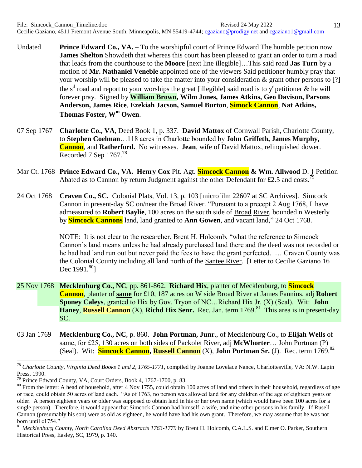- Undated **Prince Edward Co., VA.** To the worshipful court of Prince Edward The humble petition now **James Shelton** Showdeth that whereas this court has been pleased to grant an order to turn a road that leads from the courthouse to the **Moore** [next line illegible]…This said road **Jas Turn** by a motion of **Mr. Nathaniel Veneble** appointed one of the viewers Said petitioner humbly pray that your worship will be pleased to take the matter into your consideration & grant other persons to [?] the s<sup>d</sup> road and report to your worships the great [illegible] said road is to y<sup>r</sup> petitioner & he will forever pray. Signed by **William Brown, Wilm Jones, James Atkins, Geo Davison, Parsons Anderson, James Rice**, **Ezekiah Jacson, Samuel Burton**, **Simock Cannon**, **Nat Atkins, Thomas Foster, W<sup>m</sup> Owen**.
- 07 Sep 1767 **Charlotte Co., VA**, Deed Book 1, p. 337. **David Mattox** of Cornwall Parish, Charlotte County, to **Stephen Coelman**…118 acres in Charlotte bounded by **John Griffeth, James Murphy, Cannon**, and **Ratherford.** No witnesses. **Jean**, wife of David Mattox, relinquished dower. Recorded 7 Sep  $1767<sup>78</sup>$
- Mar Ct. 1768 **Prince Edward Co., VA. Henry Cox** Plt. Agt. **Simcock Cannon & Wm. Allwood** D. } Petition Abated as to Cannon by return Judgment against the other Defendant for £2.5 and costs.<sup>7</sup>
- 24 Oct 1768 **Craven Co., SC.** Colonial Plats, Vol. 13, p. 103 [microfilm 22607 at SC Archives]. Simcock Cannon in present-day SC on/near the Broad River. "Pursuant to a precept 2 Aug 1768, I have admeasured to **Robert Baylie**, 100 acres on the south side of Broad River, bounded n Westerly by **Simcock Cannons** land, land granted to **Ann Gowen**, and vacant land," 24 Oct 1768.

NOTE: It is not clear to the researcher, Brent H. Holcomb, "what the reference to Simcock Cannon's land means unless he had already purchased land there and the deed was not recorded or he had had land run out but never paid the fees to have the grant perfected. … Craven County was the Colonial County including all land north of the Santee River. [Letter to Cecilie Gaziano 16 Dec  $1991.^{80}$ ]

- 25 Nov 1768 **Mecklenburg Co., NC**, pp. 861-862. **Richard Hix**, planter of Mecklenburg, to **Simcock Cannon**, planter of **same** for £10, 187 acres on W side Broad River at James Fannins, adj **Robert Sponey Caleys**, granted to Hix by Gov. Tryon of NC…Richard Hix Jr. (X) (Seal). Wit: **John Haney, Russell Cannon** (X), **Richd Hix Senr.** Rec. Jan. term 1769.<sup>81</sup> This area is in present-day SC.
- 03 Jan 1769 **Mecklenburg Co., NC**, p. 860. **John Portman, Junr**., of Mecklenburg Co., to **Elijah Wells** of same, for £25, 130 acres on both sides of Packolet River, adj McWhorter... John Portman (P) (Seal). Wit: **Simcock Cannon, Russell Cannon** (X), **John Portman Sr.** (J). Rec. term 1769.<sup>82</sup>

<sup>78</sup> *Charlotte County, Virginia Deed Books 1 and 2, 1765-1771*, compiled by Joanne Lovelace Nance, Charlottesville, VA: N.W. Lapin Press, 1990.

<sup>&</sup>lt;sup>79</sup> Prince Edward County, VA, Court Orders, Book 4, 1767-1700, p. 83.

<sup>&</sup>lt;sup>80</sup> From the letter: A head of household, after 4 Nov 1755, could obtain 100 acres of land and others in their household, regardless of age or race, could obtain 50 acres of land each. "As of 1763, no person was allowed land for any children of the age of eighteen years or older. A person eighteen years or older was supposed to obtain land in his or her own name (which would have been 100 acres for a single person). Therefore, it would appear that Simcock Cannon had himself, a wife, and nine other persons in his family. If Rusell Cannon (presumably his son) were as old as eighteen, he would have had his own grant. Therefore, we may assume that he was not born until c1754."

<sup>81</sup> *Mecklenburg County, North Carolina Deed Abstracts 1763-1779* by Brent H. Holcomb, C.A.L.S. and Elmer O. Parker, Southern Historical Press, Easley, SC, 1979, p. 140.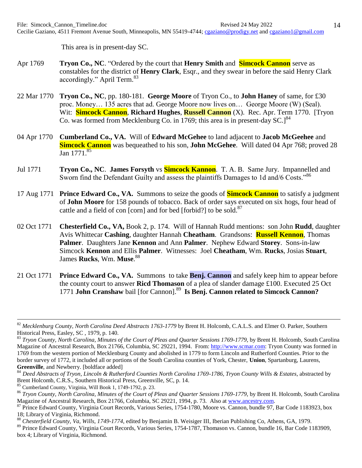This area is in present-day SC.

- Apr 1769 **Tryon Co., NC**. "Ordered by the court that **Henry Smith** and **Simcock Cannon** serve as constables for the district of **Henry Clark**, Esqr., and they swear in before the said Henry Clark accordingly." April Term.<sup>83</sup>
- 22 Mar 1770 **Tryon Co., NC**, pp. 180-181. **George Moore** of Tryon Co., to **John Haney** of same, for £30 proc. Money… 135 acres that ad. George Moore now lives on… George Moore (W) (Seal). Wit: **Simcock Cannon**, **Richard Hughes**, **Russell Cannon** (X). Rec. Apr. Term 1770. [Tryon Co. was formed from Mecklenburg Co. in 1769; this area is in present-day  $SC.1^{84}$
- 04 Apr 1770 **Cumberland Co., VA.** Will of **Edward McGehee** to land adjacent to **Jacob McGeehee** and **Simcock Cannon** was bequeathed to his son, **John McGehee**. Will dated 04 Apr 768; proved 28 Jan 1771.<sup>85</sup>
- Jul 1771 **Tryon Co., NC**. **James Forsyth** vs **Simcock Kannon**. T. A. B. Same Jury. Impannelled and Sworn find the Defendant Guilty and assess the plaintiffs Damages to 1d and/6 Costs."<sup>86</sup>
- 17 Aug 1771 **Prince Edward Co., VA.** Summons to seize the goods of **Simcock Cannon** to satisfy a judgment of **John Moore** for 158 pounds of tobacco. Back of order says executed on six hogs, four head of cattle and a field of con [corn] and for bed [forbid?] to be sold.<sup>87</sup>
- 02 Oct 1771 **Chesterfield Co., VA,** Book 2, p. 174. Will of Hannah Rudd mentions: son John **Rudd**, daughter Avis Whittecar **Cashing**, daughter Hannah **Cheatham**. Grandsons: **Russell Kennon**, Thomas **Palmer**. Daughters Jane **Kennon** and Ann **Palmer**. Nephew Edward **Storey**. Sons-in-law Simcock **Kennon** and Ellis **Palmer**. Witnesses: Joel **Cheatham**, Wm. **Rucks**, Josias **Stuart**, James **Rucks**, Wm. **Muse**. 88
- 21 Oct 1771 **Prince Edward Co., VA.** Summons to take **Benj. Cannon** and safely keep him to appear before the county court to answer **Ricd Thomason** of a plea of slander damage £100. Executed 25 Oct 1771 John Cranshaw bail [for Cannon].<sup>89</sup> Is Benj. Cannon related to Simcock Cannon?

<sup>84</sup> *Deed Abstracts of Tryon, Lincoln & Rutherford Counties North Carolina 1769-1786, Tryon County Wills & Estates*, abstracted by Brent Holcomb, C.R.S., Southern Historical Press, Greenville, SC, p. 14.

1

<sup>&</sup>lt;sup>82</sup> Mecklenburg County, North Carolina Deed Abstracts 1763-1779 by Brent H. Holcomb, C.A.L.S. and Elmer O. Parker, Southern Historical Press, Easley, SC , 1979, p. 140.

<sup>83</sup> *Tryon County, North Carolina, Minutes of the Court of Pleas and Quarter Sessions 1769-1779,* by Brent H. Holcomb, South Carolina Magazine of Ancestral Research, Box 21766, Columbia, SC 29221, 1994*.* From: [http://www.scmar.com:](http://www.scmar.com/) Tryon County was formed in 1769 from the western portion of Mecklenburg County and abolished in 1779 to form Lincoln and Rutherford Counties. Prior to the border survey of 1772, it included all or portions of the South Carolina counties of York, Chester, **Union**, Spartanburg, Laurens, **Greenville**, and Newberry. [boldface added]

<sup>85</sup> Cumberland County, Virginia, Will Book 1, 1749-1792, p. 23.

<sup>86</sup> *Tryon County, North Carolina, Minutes of the Court of Pleas and Quarter Sessions 1769-1779,* by Brent H. Holcomb, South Carolina Magazine of Ancestral Research, Box 21766, Columbia, SC 29221, 1994, p. 73*.* Also at [www.ancestry.com.](http://www.ancestry.com/)

<sup>&</sup>lt;sup>87</sup> Prince Edward County, Virginia Court Records, Various Series, 1754-1780, Moore vs. Cannon, bundle 97, Bar Code 1183923, box 18; Library of Virginia, Richmond.

<sup>88</sup> *Chesterfield County, Va, Wills, 1749-1774*, edited by Benjamin B. Weisiger III, Iberian Publishing Co, Athens, GA, 1979.

<sup>&</sup>lt;sup>89</sup> Prince Edward County, Virginia Court Records, Various Series, 1754-1787, Thomason vs. Cannon, bundle 16, Bar Code 1183909, box 4; Library of Virginia, Richmond.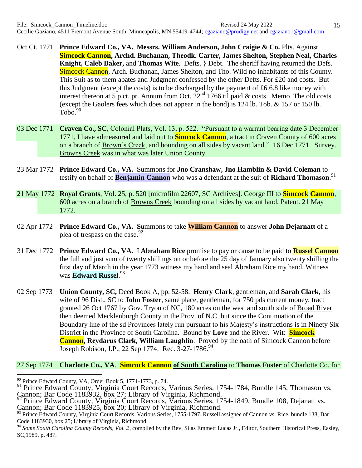- Oct Ct. 1771 **Prince Edward Co., VA. Messrs. William Anderson, John Craigie & Co.** Plts. Against **Simcock Cannon, Archd. Buchanan, Theodk. Carter, James Shelton, Stephen Neal, Charles Knight, Caleb Baker,** and **Thomas Wite**. Defts. } Debt. The sheriff having returned the Defs. Simcock Cannon, Arch. Buchanan, James Shelton, and Tho. Wild no inhabitants of this County. This Suit as to them abates and Judgment confessed by the other Defts. For £20 and costs. But this Judgment (except the costs) is to be discharged by the payment of £6.6.8 like money with interest thereon at 5 p.ct. pr. Annum from Oct.  $22^{nd}$  1766 til paid & costs. Memo The old costs (except the Gaolers fees which does not appear in the bond) is 124 lb. Tob. & 157 or 150 lb.  $Tobo.<sup>90</sup>$
- 03 Dec 1771 **Craven Co., SC**, Colonial Plats, Vol. 13, p. 522. "Pursuant to a warrant bearing date 3 December 1771, I have admeasured and laid out to **Simcock Cannon**, a tract in Craven County of 600 acres on a branch of Brown's Creek, and bounding on all sides by vacant land." 16 Dec 1771. Survey. Browns Creek was in what was later Union County.
- 23 Mar 1772 **Prince Edward Co., VA.** Summons for **Jno Cranshaw, Jno Hamblin & David Coleman** to testify on behalf of **Benjamin Cannon** who was a defendant at the suit of **Richard Thomason**. 91
- 21 May 1772 **Royal Grants**, Vol. 25, p. 520 [microfilm 22607, SC Archives]. George III to **Simcock Cannon**, 600 acres on a branch of Browns Creek bounding on all sides by vacant land. Patent. 21 May 1772.
- 02 Apr 1772 **Prince Edward Co., VA. S**ummons to take **William Cannon** to answer **John Dejarnatt** of a plea of trespass on the case.<sup>92</sup>
- 31 Dec 1772 **Prince Edward Co., VA.** I **Abraham Rice** promise to pay or cause to be paid to **Russel Cannon** the full and just sum of twenty shillings on or before the 25 day of January also twenty shilling the first day of March in the year 1773 witness my hand and seal Abraham Rice my hand. Witness was **Edward Russel**. 93
- 02 Sep 1773 **Union County, SC,** Deed Book A, pp. 52-58. **Henry Clark**, gentleman, and **Sarah Clark**, his wife of 96 Dist., SC to **John Foster**, same place, gentleman, for 750 pds current money, tract granted 26 Oct 1767 by Gov. Tryon of NC, 180 acres on the west and south side of Broad River then deemed Mecklenburgh County in the Prov. of N.C. but since the Continuation of the Boundary line of the sd Provinces lately run pursuant to his Majesty's instructions is in Ninety Six District in the Province of South Carolina. Bound by **Love** and the River. Wit: **Simcock Cannon, Reydarus Clark, William Laughlin**. Proved by the oath of Simcock Cannon before Joseph Robison, J.P., 22 Sep 1774. Rec. 3-27-1786.<sup>94</sup>

## 27 Sep 1774 **Charlotte Co., VA**. **Simcock Cannon of South Carolina** to **Thomas Foster** of Charlotte Co. for

 $\overline{a}$ 

<sup>92</sup> Prince Edward County, Virginia Court Records, Various Series, 1754-1849, Bundle 108, Dejanatt vs.

Cannon; Bar Code 1183925, box 20; Library of Virginia, Richmond.

 $^{90}_{\odot}$  Prince Edward County, VA, Order Book 5, 1771-1773, p. 74.

<sup>&</sup>lt;sup>91</sup> Prince Edward County, Virginia Court Records, Various Series, 1754-1784, Bundle 145, Thomason vs. Cannon; Bar Code 1183932, box 27; Library of Virginia, Richmond.

<sup>93</sup> Prince Edward County, Virginia Court Records, Various Series, 1755-1797, Russell assignee of Cannon vs. Rice, bundle 138, Bar Code 1183930, box 25; Library of Virginia, Richmond.

<sup>&</sup>lt;sup>94</sup> Some South Carolina County Records, Vol. 2, compiled by the Rev. Silas Emmett Lucas Jr., Editor, Southern Historical Press, Easley, SC,1989, p. 487.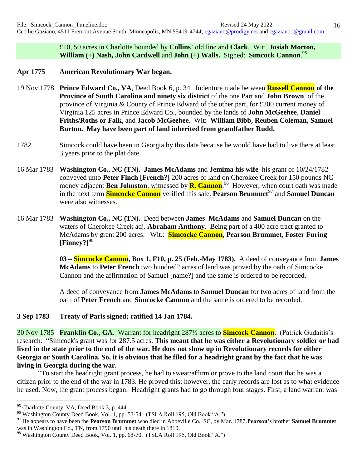£10, 50 acres in Charlotte bounded by **Collins**' old line and **Clark**. Wit: **Josiah Morton, William (+) Nash, John Cardwell** and **John (+) Walls.** Signed: **Simcock Cannon**. 95

- **Apr 1775 American Revolutionary War began.**
- 19 Nov 1778 **Prince Edward Co., VA**, Deed Book 6, p. 34. Indenture made between **Russell Cannon of the Province of South Carolina and ninety six district** of the one Part and **John Brown**, of the province of Virginia & County of Prince Edward of the other part, for £200 current money of Virginia 125 acres in Prince Edward Co., bounded by the lands of **John McGeehee**, **Daniel Friths/Roths or Falk**, and **Jacob McGeehee**. Wit: **William Bibb, Reuben Coleman, Samuel Burton. May have been part of land inherited from grandfather Rudd.**
- 1782 Simcock could have been in Georgia by this date because he would have had to live there at least 3 years prior to the plat date.
- 16 Mar 1783 **Washington Co., NC (TN). James McAdams** and **Jemima his wife** his grant of 10/24/1782 conveyed unto **Peter Finch [French?]** 200 acres of land on Cherokee Creek for 150 pounds NC money adjacent **Ben Johnston**, witnessed by **R. Cannon**.<sup>96</sup> However, when court oath was made in the next term **Simcocke Cannon** verified this sale. **Pearson Brummet**<sup>97</sup> and **Samuel Duncan** were also witnesses.
- 16 Mar 1783 **Washington Co., NC (TN).** Deed between **James McAdams** and **Samuel Duncan** on the waters of Cherokee Creek adj. **Abraham Anthony**. Being part of a 400 acre tract granted to McAdams by grant 200 acres. Wit.: **Simcocke Cannon**, **Pearson Brummet, Foster Furing [Finney?]**<sup>98</sup>

**03 – Simcocke Cannon, Box 1, F10, p. 25 (Feb.-May 1783).** A deed of conveyance from **James McAdams** to **Peter French** two hundred? acres of land was proved by the oath of Simcocke Cannon and the affirmation of Samuel [name?] and the same is ordered to be recorded.

A deed of conveyance from **James McAdams** to **Samuel Duncan** for two acres of land from the oath of **Peter French** and **Simcocke Cannon** and the same is ordered to be recorded.

**3 Sep 1783 Treaty of Paris signed; ratified 14 Jan 1784.** 

30 Nov 1785 **Franklin Co., GA**. Warrant for headright 287½ acres to **Simcock Cannon**. (Patrick Gudaitis's research: "Simcock's grant was for 287.5 acres. **This meant that he was either a Revolutionary soldier or had lived in the state prior to the end of the war. He does not show up in Revolutionary records for either Georgia or South Carolina. So, it is obvious that he filed for a headright grant by the fact that he was living in Georgia during the war.** 

"To start the headright grant process, he had to swear/affirm or prove to the land court that he was a citizen prior to the end of the war in 1783. He proved this; however, the early records are lost as to what evidence he used. Now, the grant process began. Headright grants had to go through four stages. First, a land warrant was

<sup>&</sup>lt;sup>95</sup> Charlotte County, VA, Deed Book 3, p. 444.

<sup>&</sup>lt;sup>96</sup> Washington County Deed Book, Vol. 1, pp. 53-54. (TSLA Roll 195, Old Book "A.")

<sup>97</sup> He appears to have been the **Pearson Brummet** who died in Abbeville Co., SC, by Mar. 1787.**Pearson's** brother **Samuel Brummet** was in Washington Co., TN, from 1790 until his death there in 1819.

<sup>&</sup>lt;sup>98</sup> Washington County Deed Book, Vol. 1, pp. 68-70. (TSLA Roll 195, Old Book "A.")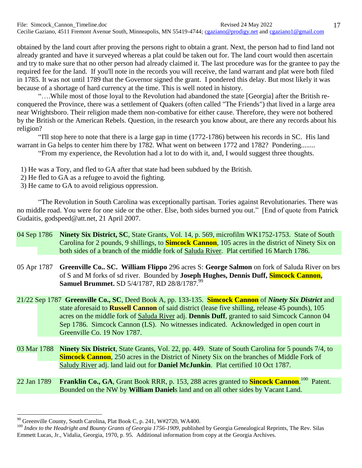obtained by the land court after proving the persons right to obtain a grant. Next, the person had to find land not already granted and have it surveyed whereas a plat could be taken out for. The land court would then ascertain and try to make sure that no other person had already claimed it. The last procedure was for the grantee to pay the required fee for the land. If you'll note in the records you will receive, the land warrant and plat were both filed in 1785. It was not until 1789 that the Governor signed the grant. I pondered this delay. But most likely it was because of a shortage of hard currency at the time. This is well noted in history.

"….While most of those loyal to the Revolution had abandoned the state [Georgia] after the British reconquered the Province, there was a settlement of Quakers (often called "The Friends") that lived in a large area near Wrightsboro. Their religion made them non-combative for either cause. Therefore, they were not bothered by the British or the American Rebels. Question, in the research you know about, are there any records about his religion?

"I'll stop here to note that there is a large gap in time (1772-1786) between his records in SC. His land warrant in Ga helps to center him there by 1782. What went on between 1772 and 1782? Pondering........

"From my experience, the Revolution had a lot to do with it, and, I would suggest three thoughts.

- 1) He was a Tory, and fled to GA after that state had been subdued by the British.
- 2) He fled to GA as a refugee to avoid the fighting.
- 3) He came to GA to avoid religious oppression.

"The Revolution in South Carolina was exceptionally partisan. Tories against Revolutionaries. There was no middle road. You were for one side or the other. Else, both sides burned you out." [End of quote from Patrick Gudaitis, godspeed@att.net, 21 April 2007.

- 04 Sep 1786 **Ninety Six District, SC**, State Grants, Vol. 14, p. 569, microfilm WK1752-1753. State of South Carolina for 2 pounds, 9 shillings, to **Simcock Cannon**, 105 acres in the district of Ninety Six on both sides of a branch of the middle fork of Saluda River. Plat certified 16 March 1786.
- 05 Apr 1787 **Greenville Co.. SC. William Flippo** 296 acres S: **George Salmon** on fork of Saluda River on brs of S and M forks of sd river. Bounded by **Joseph Hughes, Dennis Duff, Simcock Cannon, Samuel Brummet.** SD 5/4/1787, RD 28/8/1787. 99
- 21/22 Sep 1787 **Greenville Co., SC**, Deed Book A, pp. 133-135. **Simcock Cannon** of *Ninety Six District* and state aforesaid to **Russell Cannon** of said district (lease five shilling, release 45 pounds), 105 acres on the middle fork of Saluda River adj. **Dennis Duff**, granted to said Simcock Cannon 04 Sep 1786. Simcock Cannon (LS). No witnesses indicated. Acknowledged in open court in Greenville Co. 19 Nov 1787.
- 03 Mar 1788 **Ninety Six District**, State Grants, Vol. 22, pp. 449. State of South Carolina for 5 pounds 7/4, to **Simcock Cannon**, 250 acres in the District of Ninety Six on the branches of Middle Fork of Saludy River adj. land laid out for **Daniel McJunkin**. Plat certified 10 Oct 1787.
- 22 Jan 1789 **Franklin Co., GA**, Grant Book RRR, p. 153, 288 acres granted to **Sincock Cannon**.<sup>100</sup> Patent. Bounded on the NW by **William Daniel**s land and on all other sides by Vacant Land.

<sup>&</sup>lt;sup>99</sup> Greenville County, South Carolina, Plat Book C, p. 241, W#2720, WA400.

<sup>&</sup>lt;sup>100</sup> *Index to the Headright and Bounty Grants of Georgia 1756-1909*, published by Georgia Genealogical Reprints, The Rev. Silas Emmett Lucas, Jr., Vidalia, Georgia, 1970, p. 95. Additional information from copy at the Georgia Archives.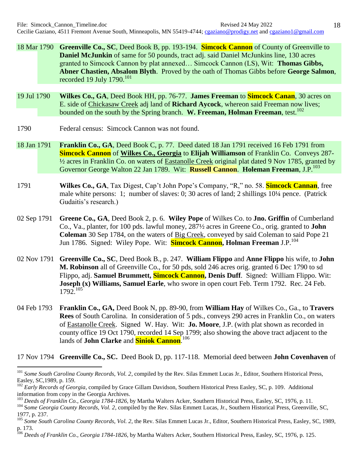- 18 Mar 1790 **Greenville Co., SC**, Deed Book B, pp. 193-194. **Simcock Cannon** of County of Greenville to **Daniel McJunkin** of same for 50 pounds, tract adj. said Daniel McJunkins line, 130 acres granted to Simcock Cannon by plat annexed… Simcock Cannon (LS), Wit: **Thomas Gibbs, Abner Chastien, Absalom Blyth**. Proved by the oath of Thomas Gibbs before **George Salmon**, recorded 19 July  $1790.^{101}$
- 19 Jul 1790 **Wilkes Co., GA**, Deed Book HH, pp. 76-77. **James Freeman** to **Simcock Canan**, 30 acres on E. side of Chickasaw Creek adj land of **Richard Aycock**, whereon said Freeman now lives; bounded on the south by the Spring branch. **W. Freeman, Holman Freeman**, test.<sup>102</sup>
- 1790 Federal census: Simcock Cannon was not found.

 $\overline{a}$ 

- 18 Jan 1791 **Franklin Co., GA**, Deed Book C, p. 77. Deed dated 18 Jan 1791 received 16 Feb 1791 from **Simcock Cannon** of **Wilkes Co., Georgia** to **Elijah Williamson** of Franklin Co. Conveys 287- ½ acres in Franklin Co. on waters of Eastanolle Creek original plat dated 9 Nov 1785, granted by Governor George Walton 22 Jan 1789. Wit: **Russell Cannon**. **Holeman Freeman**, J.P.<sup>103</sup>
- 1791 **Wilkes Co., GA**, Tax Digest, Cap't John Pope's Company, "R," no. 58. **Simcock Cannan**, free male white persons: 1; number of slaves: 0; 30 acres of land; 2 shillings 10¼ pence. (Patrick Gudaitis's research.)
- 02 Sep 1791 **Greene Co., GA**, Deed Book 2, p. 6. **Wiley Pope** of Wilkes Co. to **Jno. Griffin** of Cumberland Co., Va., planter, for 100 pds. lawful money, 287½ acres in Greene Co., orig. granted to **John Coleman** 30 Sep 1784, on the waters of Big Creek, conveyed by said Coleman to said Pope 21 Jun 1786. Signed: Wiley Pope. Wit: **Simcock Cannon, Holman Freeman** J.P.<sup>104</sup>
- 02 Nov 1791 **Greenville Co., SC**, Deed Book B., p. 247. **William Flippo** and **Anne Flippo** his wife, to **John M. Robinson** all of Greenville Co., for 50 pds, sold 246 acres orig. granted 6 Dec 1790 to sd Flippo, adj. **Samuel Brummett, Simcock Cannon, Denis Duff**. Signed: William Flippo. Wit: **Joseph (x) Williams, Samuel Earle**, who swore in open court Feb. Term 1792. Rec. 24 Feb.  $1792^{105}$
- 04 Feb 1793 **Franklin Co., GA,** Deed Book N, pp. 89-90, from **William Hay** of Wilkes Co., Ga., to **Travers Rees** of South Carolina. In consideration of 5 pds., conveys 290 acres in Franklin Co., on waters of Eastanolle Creek. Signed W. Hay. Wit: **Jo. Moore**, J.P. (with plat shown as recorded in county office 19 Oct 1790, recorded 14 Sep 1799; also showing the above tract adjacent to the lands of **John Clarke** and **Siniok Cannon**. 106

17 Nov 1794 **Greenville Co., SC.** Deed Book D, pp. 117-118. Memorial deed between **John Covenhaven** of

<sup>&</sup>lt;sup>101</sup> Some South Carolina County Records, Vol. 2, compiled by the Rev. Silas Emmett Lucas Jr., Editor, Southern Historical Press, Easley, SC,1989, p. 159.

<sup>&</sup>lt;sup>102</sup> *Early Records of Georgia*, compiled by Grace Gillam Davidson, Southern Historical Press Easley, SC, p. 109. Additional information from copy in the Georgia Archives.

<sup>103</sup> *Deeds of Franklin Co., Georgia 1784-1826*, by Martha Walters Acker, Southern Historical Press, Easley, SC, 1976, p. 11.

<sup>&</sup>lt;sup>104</sup> Some Georgia County Records, Vol. 2, compiled by the Rev. Silas Emmett Lucas, Jr., Southern Historical Press, Greenville, SC, 1977, p. 237.

<sup>&</sup>lt;sup>105</sup> Some South Carolina County Records, Vol. 2, the Rev. Silas Emmett Lucas Jr., Editor, Southern Historical Press, Easley, SC, 1989, p. 173.

<sup>106</sup> *Deeds of Franklin Co., Georgia 1784-1826*, by Martha Walters Acker, Southern Historical Press, Easley, SC, 1976, p. 125.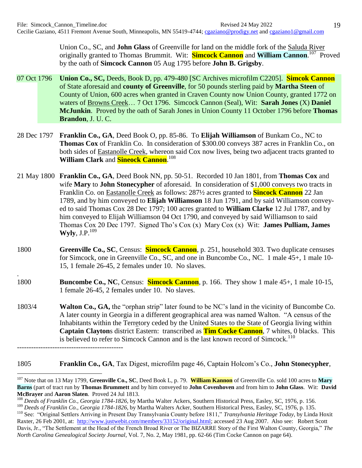Union Co., SC, and **John Glass** of Greenville for land on the middle fork of the Saluda River originally granted to Thomas Brummit. Wit: **Simcock Cannon** and **William Cannon**.<sup>107</sup> Proved by the oath of **Simcock Cannon** 05 Aug 1795 before **John B. Grigsby**.

- 07 Oct 1796 **Union Co., SC,** Deeds, Book D, pp. 479-480 [SC Archives microfilm C2205]. **Simcok Cannon** of State aforesaid and **county of Greenville**, for 50 pounds sterling paid by **Martha Steen** of County of Union, 600 acres when granted in Craven County now Union County, granted 1772 on waters of Browns Creek… 7 Oct 1796. Simcock Cannon (Seal), Wit: **Sarah Jones** (X) **Daniel McJunkin**. Proved by the oath of Sarah Jones in Union County 11 October 1796 before **Thomas Brandon**, J. U. C.
- 28 Dec 1797 **Franklin Co., GA**, Deed Book O, pp. 85-86. To **Elijah Williamson** of Bunkam Co., NC to **Thomas Cox** of Franklin Co. In consideration of \$300.00 conveys 387 acres in Franklin Co., on both sides of Eastanolle Creek, whereon said Cox now lives, being two adjacent tracts granted to **William Clark** and **Sineock Cannon**. 108
- 21 May 1800 **Franklin Co., GA**, Deed Book NN, pp. 50-51. Recorded 10 Jan 1801, from **Thomas Cox** and wife **Mary** to **John Stonecypher** of aforesaid. In consideration of \$1,000 conveys two tracts in Franklin Co. on Eastanolle Creek as follows: 287½ acres granted to **Sincock Cannon** 22 Jan 1789, and by him conveyed to **Elijah Williamson** 18 Jun 1791, and by said Williamson conveyed to said Thomas Cox 28 Dec 1797; 100 acres granted to **William Clarke** 12 Jul 1787, and by him conveyed to Elijah Williamson 04 Oct 1790, and conveyed by said Williamson to said Thomas Cox 20 Dec 1797. Signed Tho's Cox (x) Mary Cox (x) Wit: **James Pulliam, James**   $Wyly, J.P.<sup>109</sup>$
- 1800 **Greenville Co., SC**, Census: **Simcock Cannon**, p. 251, household 303. Two duplicate censuses for Simcock, one in Greenville Co., SC, and one in Buncombe Co., NC. 1 male 45+, 1 male 10- 15, 1 female 26-45, 2 females under 10. No slaves.
- 1800 **Buncombe Co., NC**, Census: **Simcock Cannon**, p. 166. They show 1 male 45+, 1 male 10-15, 1 female 26-45, 2 females under 10. No slaves.

.

1803/4 **Walton Co., GA,** the "orphan strip" later found to be NC's land in the vicinity of Buncombe Co. A later county in Georgia in a different geographical area was named Walton. "A census of the Inhabitants within the Terretory ceded by the United States to the State of Georgia living within **Captain Clayton**s district Eastern: transcribed as **Tim Cocke Cannon**, 7 whites, 0 blacks. This is believed to refer to Simcock Cannon and is the last known record of Simcock.<sup>110</sup> ---------------------------------------------

1805 **Franklin Co., GA**, Tax Digest, microfilm page 46, Captain Holcom's Co., **John Stonecypher**,

 $\overline{a}$ <sup>107</sup> Note that on 13 May 1799, **Greenville Co., SC**, Deed Book L, p. 79. **William Kannon** of Greenville Co. sold 100 acres to **Mary Barns** (part of tract run by **Thomas Brummett** and by him conveyed to **John Covenhoven** and from him to **John Glass**. Wit: **David McBrayer** and **Aaron Slaten**. Proved 24 Jul 1813.

<sup>108</sup> *Deeds of Franklin Co., Georgia 1784-1826*, by Martha Walter Ackers, Southern Historical Press, Easley, SC, 1976, p. 156. <sup>109</sup> *Deeds of Franklin Co., Georgia 1784-1826*, by Martha Walters Acker, Southern Historical Press, Easley, SC, 1976, p. 135.

<sup>110</sup> See: "Original Settlers Arriving in Present Day Transylvania County before 1811," *Transylvania Heritage Today*, by Linda Hoxit Raxter, 26 Feb 2001, at: [http://www.justwebit.com/members/33152/original.html;](http://www.justwebit.com/members/33152/original.html) accessed 23 Aug 2007. Also see: Robert Scott Davis, Jr., "The Settlement at the Head of the French Broad River or The BIZARRE Story of the First Walton County, Georgia," *The North Carolina Genealogical Society Journal*, Vol. 7, No. 2, May 1981, pp. 62-66 (Tim Cocke Cannon on page 64).